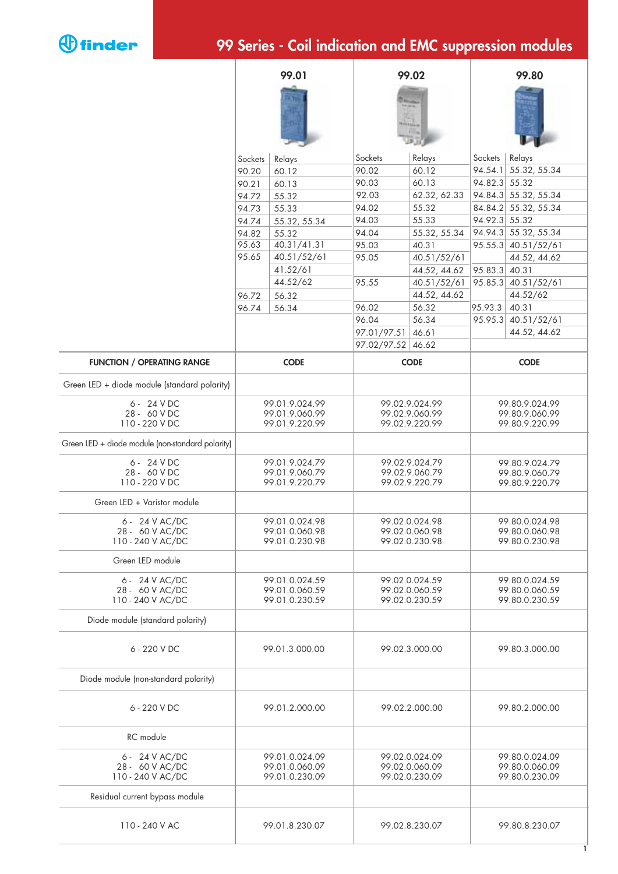

## **99 Series - Coil indication and EMC suppression modules**

|                                                        | 99.01                                              |              |                                                    | 99.02        |                                                    | 99.80                |  |
|--------------------------------------------------------|----------------------------------------------------|--------------|----------------------------------------------------|--------------|----------------------------------------------------|----------------------|--|
|                                                        |                                                    |              |                                                    |              |                                                    |                      |  |
|                                                        | Sockets                                            | Relays       | Sockets                                            | Relays       | Sockets                                            | Relays               |  |
|                                                        | 90.20                                              | 60.12        | 90.02                                              | 60.12        | 94.54.1                                            | 55.32, 55.34         |  |
|                                                        | 90.21                                              | 60.13        | 90.03                                              | 60.13        | 94.82.3                                            | 55.32                |  |
|                                                        | 94.72                                              | 55.32        | 92.03                                              | 62.32, 62.33 |                                                    | 94.84.3 55.32, 55.34 |  |
|                                                        | 94.73                                              | 55.33        | 94.02                                              | 55.32        |                                                    | 84.84.2 55.32, 55.34 |  |
|                                                        | 94.74                                              | 55.32, 55.34 | 94.03                                              | 55.33        | 94.92.3                                            | 55.32                |  |
|                                                        | 94.82                                              | 55.32        | 94.04                                              | 55.32, 55.34 |                                                    | 94.94.3 55.32, 55.34 |  |
|                                                        | 95.63                                              | 40.31/41.31  | 95.03                                              | 40.31        |                                                    | 95.55.3 40.51/52/61  |  |
|                                                        | 95.65                                              | 40.51/52/61  | 95.05                                              | 40.51/52/61  |                                                    | 44.52, 44.62         |  |
|                                                        |                                                    | 41.52/61     |                                                    | 44.52, 44.62 | 95.83.3                                            | 40.31                |  |
|                                                        |                                                    | 44.52/62     | 95.55                                              | 40.51/52/61  |                                                    | 95.85.3 40.51/52/61  |  |
|                                                        | 96.72                                              | 56.32        |                                                    | 44.52, 44.62 |                                                    | 44.52/62             |  |
|                                                        | 96.74                                              | 56.34        | 96.02                                              | 56.32        | 95.93.3<br>95.95.3                                 | 40.31<br>40.51/52/61 |  |
|                                                        |                                                    |              | 96.04                                              | 56.34        |                                                    |                      |  |
|                                                        |                                                    |              | 97.01/97.51<br>46.61<br>97.02/97.52 46.62          |              |                                                    | 44.52, 44.62         |  |
|                                                        |                                                    |              |                                                    |              |                                                    |                      |  |
| <b>FUNCTION / OPERATING RANGE</b>                      | <b>CODE</b>                                        |              | <b>CODE</b>                                        |              | <b>CODE</b>                                        |                      |  |
| Green LED + diode module (standard polarity)           |                                                    |              |                                                    |              |                                                    |                      |  |
| 6 - 24 V DC<br>28 - 60 V DC<br>110 - 220 V DC          | 99.01.9.024.99<br>99.01.9.060.99<br>99.01.9.220.99 |              | 99.02.9.024.99<br>99.02.9.060.99<br>99.02.9.220.99 |              | 99.80.9.024.99<br>99.80.9.060.99<br>99.80.9.220.99 |                      |  |
| Green LED + diode module (non-standard polarity)       |                                                    |              |                                                    |              |                                                    |                      |  |
| 6 - 24 V DC<br>28 - 60 V DC<br>110 - 220 V DC          | 99.01.9.024.79<br>99.01.9.060.79<br>99.01.9.220.79 |              | 99.02.9.024.79<br>99.02.9.060.79<br>99.02.9.220.79 |              | 99.80.9.024.79<br>99.80.9.060.79<br>99.80.9.220.79 |                      |  |
| Green LED + Varistor module                            |                                                    |              |                                                    |              |                                                    |                      |  |
| 6 - 24 V AC/DC<br>28 - 60 V AC/DC<br>110 - 240 V AC/DC | 99.01.0.024.98<br>99.01.0.060.98<br>99.01.0.230.98 |              | 99.02.0.024.98<br>99.02.0.060.98<br>99.02.0.230.98 |              | 99.80.0.024.98<br>99.80.0.060.98<br>99.80.0.230.98 |                      |  |
| Green LED module                                       |                                                    |              |                                                    |              |                                                    |                      |  |
| 6 - 24 V AC/DC<br>28 - 60 V AC/DC<br>110 - 240 V AC/DC | 99.01.0.024.59<br>99.01.0.060.59<br>99.01.0.230.59 |              | 99.02.0.024.59<br>99.02.0.060.59<br>99.02.0.230.59 |              | 99.80.0.024.59<br>99.80.0.060.59<br>99.80.0.230.59 |                      |  |
| Diode module (standard polarity)                       |                                                    |              |                                                    |              |                                                    |                      |  |
| 6 - 220 V DC                                           | 99.01.3.000.00                                     |              | 99.02.3.000.00                                     |              | 99.80.3.000.00                                     |                      |  |
| Diode module (non-standard polarity)                   |                                                    |              |                                                    |              |                                                    |                      |  |
| 6 - 220 V DC                                           | 99.01.2.000.00                                     |              | 99.02.2.000.00                                     |              | 99.80.2.000.00                                     |                      |  |
| RC module                                              |                                                    |              |                                                    |              |                                                    |                      |  |
| 6 - 24 V AC/DC<br>28 - 60 V AC/DC<br>110 - 240 V AC/DC | 99.01.0.024.09<br>99.01.0.060.09<br>99.01.0.230.09 |              | 99.02.0.024.09<br>99.02.0.060.09<br>99.02.0.230.09 |              | 99.80.0.024.09<br>99.80.0.060.09<br>99.80.0.230.09 |                      |  |
| Residual current bypass module                         |                                                    |              |                                                    |              |                                                    |                      |  |
| 110 - 240 V AC                                         | 99.01.8.230.07                                     |              | 99.02.8.230.07                                     |              | 99.80.8.230.07<br>L                                |                      |  |